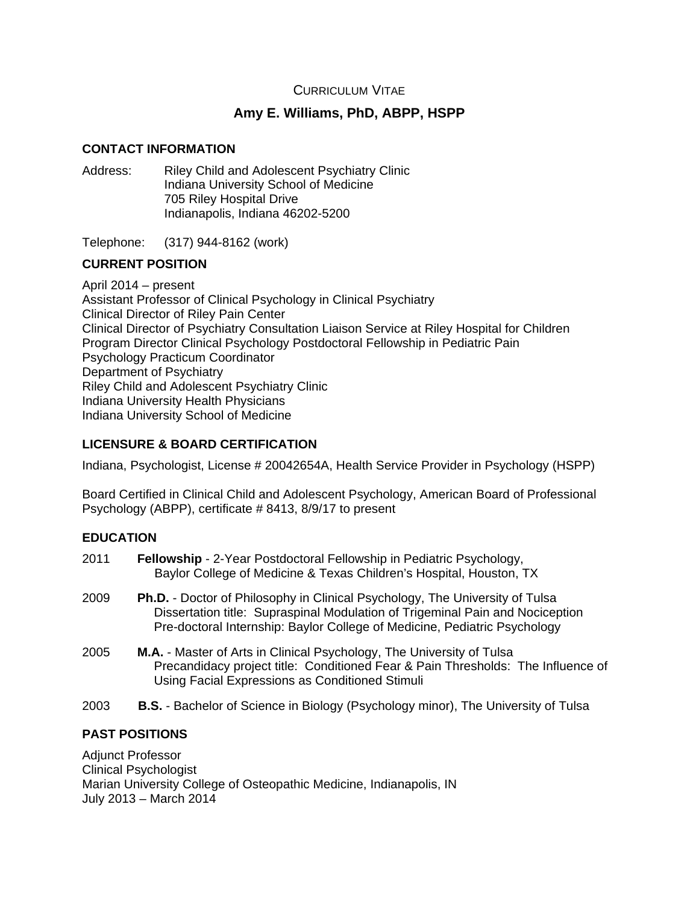# CURRICULUM VITAE

# **Amy E. Williams, PhD, ABPP, HSPP**

## **CONTACT INFORMATION**

Address: Riley Child and Adolescent Psychiatry Clinic Indiana University School of Medicine 705 Riley Hospital Drive Indianapolis, Indiana 46202-5200

Telephone: (317) 944-8162 (work)

# **CURRENT POSITION**

April 2014 – present Assistant Professor of Clinical Psychology in Clinical Psychiatry Clinical Director of Riley Pain Center Clinical Director of Psychiatry Consultation Liaison Service at Riley Hospital for Children Program Director Clinical Psychology Postdoctoral Fellowship in Pediatric Pain Psychology Practicum Coordinator Department of Psychiatry Riley Child and Adolescent Psychiatry Clinic Indiana University Health Physicians Indiana University School of Medicine

# **LICENSURE & BOARD CERTIFICATION**

Indiana, Psychologist, License # 20042654A, Health Service Provider in Psychology (HSPP)

Board Certified in Clinical Child and Adolescent Psychology, American Board of Professional Psychology (ABPP), certificate # 8413, 8/9/17 to present

# **EDUCATION**

| 2011 | <b>Fellowship - 2-Year Postdoctoral Fellowship in Pediatric Psychology,</b><br>Baylor College of Medicine & Texas Children's Hospital, Houston, TX |
|------|----------------------------------------------------------------------------------------------------------------------------------------------------|
| 2009 | <b>Ph.D.</b> - Doctor of Philosophy in Clinical Psychology, The University of Tulsa                                                                |

- Dissertation title: Supraspinal Modulation of Trigeminal Pain and Nociception Pre-doctoral Internship: Baylor College of Medicine, Pediatric Psychology
- 2005 **M.A.** Master of Arts in Clinical Psychology, The University of Tulsa Precandidacy project title: Conditioned Fear & Pain Thresholds: The Influence of Using Facial Expressions as Conditioned Stimuli
- 2003 **B.S.** Bachelor of Science in Biology (Psychology minor), The University of Tulsa

# **PAST POSITIONS**

Adjunct Professor Clinical Psychologist Marian University College of Osteopathic Medicine, Indianapolis, IN July 2013 – March 2014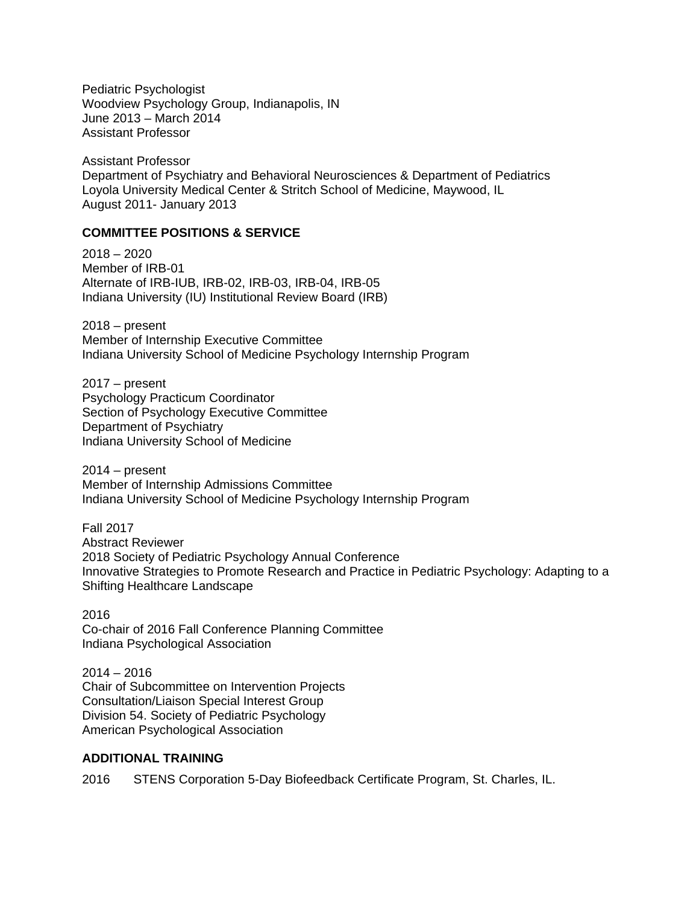Pediatric Psychologist Woodview Psychology Group, Indianapolis, IN June 2013 – March 2014 Assistant Professor

Assistant Professor Department of Psychiatry and Behavioral Neurosciences & Department of Pediatrics Loyola University Medical Center & Stritch School of Medicine, Maywood, IL August 2011- January 2013

## **COMMITTEE POSITIONS & SERVICE**

2018 – 2020 Member of IRB-01 Alternate of IRB-IUB, IRB-02, IRB-03, IRB-04, IRB-05 Indiana University (IU) Institutional Review Board (IRB)

2018 – present Member of Internship Executive Committee Indiana University School of Medicine Psychology Internship Program

2017 – present Psychology Practicum Coordinator Section of Psychology Executive Committee Department of Psychiatry Indiana University School of Medicine

2014 – present Member of Internship Admissions Committee Indiana University School of Medicine Psychology Internship Program

Fall 2017 Abstract Reviewer 2018 Society of Pediatric Psychology Annual Conference Innovative Strategies to Promote Research and Practice in Pediatric Psychology: Adapting to a Shifting Healthcare Landscape

2016 Co-chair of 2016 Fall Conference Planning Committee Indiana Psychological Association

2014 – 2016 Chair of Subcommittee on Intervention Projects Consultation/Liaison Special Interest Group Division 54. Society of Pediatric Psychology American Psychological Association

# **ADDITIONAL TRAINING**

2016 STENS Corporation 5-Day Biofeedback Certificate Program, St. Charles, IL.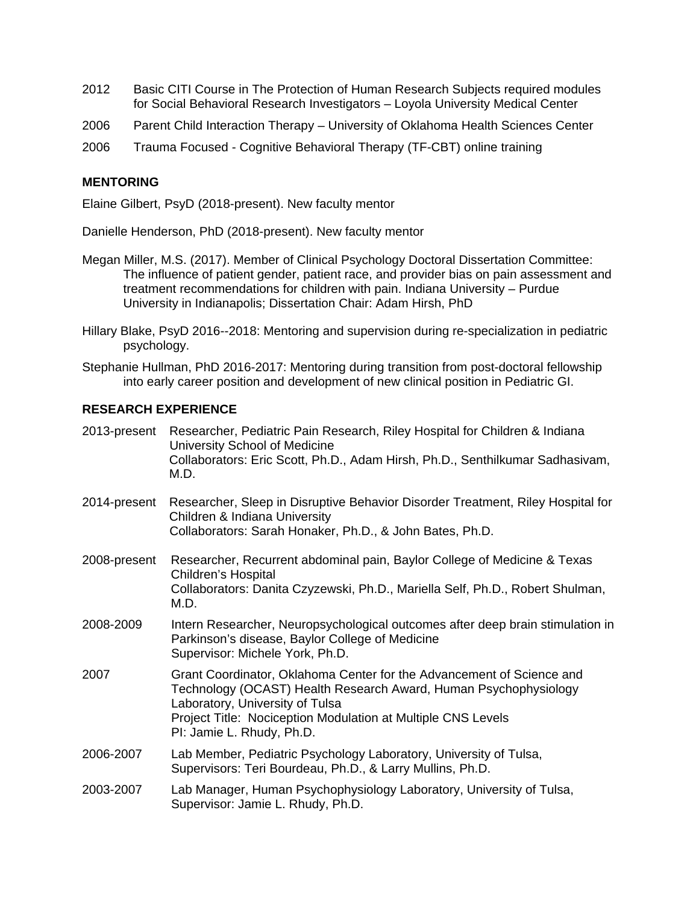- 2012 Basic CITI Course in The Protection of Human Research Subjects required modules for Social Behavioral Research Investigators – Loyola University Medical Center
- 2006 Parent Child Interaction Therapy University of Oklahoma Health Sciences Center
- 2006 Trauma Focused Cognitive Behavioral Therapy (TF-CBT) online training

## **MENTORING**

Elaine Gilbert, PsyD (2018-present). New faculty mentor

Danielle Henderson, PhD (2018-present). New faculty mentor

- Megan Miller, M.S. (2017). Member of Clinical Psychology Doctoral Dissertation Committee: The influence of patient gender, patient race, and provider bias on pain assessment and treatment recommendations for children with pain. Indiana University – Purdue University in Indianapolis; Dissertation Chair: Adam Hirsh, PhD
- Hillary Blake, PsyD 2016--2018: Mentoring and supervision during re-specialization in pediatric psychology.
- Stephanie Hullman, PhD 2016-2017: Mentoring during transition from post-doctoral fellowship into early career position and development of new clinical position in Pediatric GI.

### **RESEARCH EXPERIENCE**

| 2013-present | Researcher, Pediatric Pain Research, Riley Hospital for Children & Indiana<br>University School of Medicine<br>Collaborators: Eric Scott, Ph.D., Adam Hirsh, Ph.D., Senthilkumar Sadhasivam,<br>M.D.                                                                      |
|--------------|---------------------------------------------------------------------------------------------------------------------------------------------------------------------------------------------------------------------------------------------------------------------------|
| 2014-present | Researcher, Sleep in Disruptive Behavior Disorder Treatment, Riley Hospital for<br>Children & Indiana University<br>Collaborators: Sarah Honaker, Ph.D., & John Bates, Ph.D.                                                                                              |
| 2008-present | Researcher, Recurrent abdominal pain, Baylor College of Medicine & Texas<br><b>Children's Hospital</b><br>Collaborators: Danita Czyzewski, Ph.D., Mariella Self, Ph.D., Robert Shulman,<br>M.D.                                                                           |
| 2008-2009    | Intern Researcher, Neuropsychological outcomes after deep brain stimulation in<br>Parkinson's disease, Baylor College of Medicine<br>Supervisor: Michele York, Ph.D.                                                                                                      |
| 2007         | Grant Coordinator, Oklahoma Center for the Advancement of Science and<br>Technology (OCAST) Health Research Award, Human Psychophysiology<br>Laboratory, University of Tulsa<br>Project Title: Nociception Modulation at Multiple CNS Levels<br>PI: Jamie L. Rhudy, Ph.D. |
| 2006-2007    | Lab Member, Pediatric Psychology Laboratory, University of Tulsa,<br>Supervisors: Teri Bourdeau, Ph.D., & Larry Mullins, Ph.D.                                                                                                                                            |
| 2003-2007    | Lab Manager, Human Psychophysiology Laboratory, University of Tulsa,<br>Supervisor: Jamie L. Rhudy, Ph.D.                                                                                                                                                                 |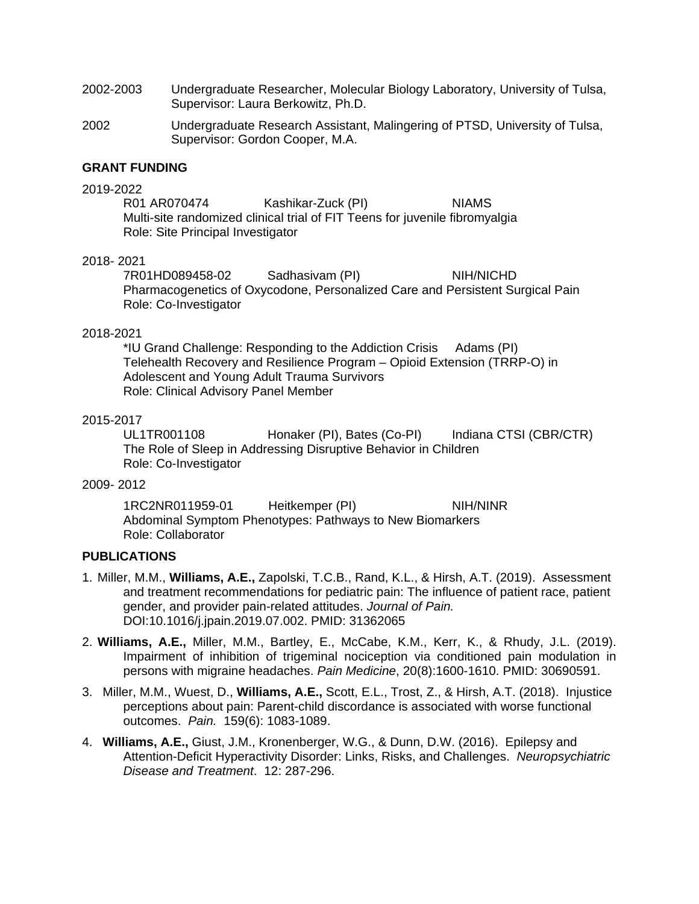- 2002-2003 Undergraduate Researcher, Molecular Biology Laboratory, University of Tulsa, Supervisor: Laura Berkowitz, Ph.D.
- 2002 Undergraduate Research Assistant, Malingering of PTSD, University of Tulsa, Supervisor: Gordon Cooper, M.A.

#### **GRANT FUNDING**

2019-2022 Kashikar-Zuck (PI) NIAMS Multi-site randomized clinical trial of FIT Teens for juvenile fibromyalgia Role: Site Principal Investigator

#### 2018- 2021

7R01HD089458-02 Sadhasivam (PI) NIH/NICHD Pharmacogenetics of Oxycodone, Personalized Care and Persistent Surgical Pain Role: Co-Investigator

#### 2018-2021

\*IU Grand Challenge: Responding to the Addiction Crisis Adams (PI) Telehealth Recovery and Resilience Program – Opioid Extension (TRRP-O) in Adolescent and Young Adult Trauma Survivors Role: Clinical Advisory Panel Member

### 2015-2017

UL1TR001108 Honaker (PI), Bates (Co-PI) Indiana CTSI (CBR/CTR) The Role of Sleep in Addressing Disruptive Behavior in Children Role: Co-Investigator

#### 2009- 2012

1RC2NR011959-01 Heitkemper (PI) NIH/NINR Abdominal Symptom Phenotypes: Pathways to New Biomarkers Role: Collaborator

### **PUBLICATIONS**

- 1. Miller, M.M., **Williams, A.E.,** Zapolski, T.C.B., Rand, K.L., & Hirsh, A.T. (2019). Assessment and treatment recommendations for pediatric pain: The influence of patient race, patient gender, and provider pain-related attitudes. *Journal of Pain.* DOI:10.1016/j.jpain.2019.07.002. PMID: 31362065
- 2. **Williams, A.E.,** Miller, M.M., Bartley, E., McCabe, K.M., Kerr, K., & Rhudy, J.L. (2019). Impairment of inhibition of trigeminal nociception via conditioned pain modulation in persons with migraine headaches. *Pain Medicine*, 20(8):1600-1610. PMID: 30690591.
- 3. Miller, M.M., Wuest, D., **Williams, A.E.,** Scott, E.L., Trost, Z., & Hirsh, A.T. (2018). Injustice perceptions about pain: Parent-child discordance is associated with worse functional outcomes. *Pain.* 159(6): 1083-1089.
- 4. **Williams, A.E.,** Giust, J.M., Kronenberger, W.G., & Dunn, D.W. (2016). Epilepsy and Attention-Deficit Hyperactivity Disorder: Links, Risks, and Challenges. *Neuropsychiatric Disease and Treatment*. 12: 287-296.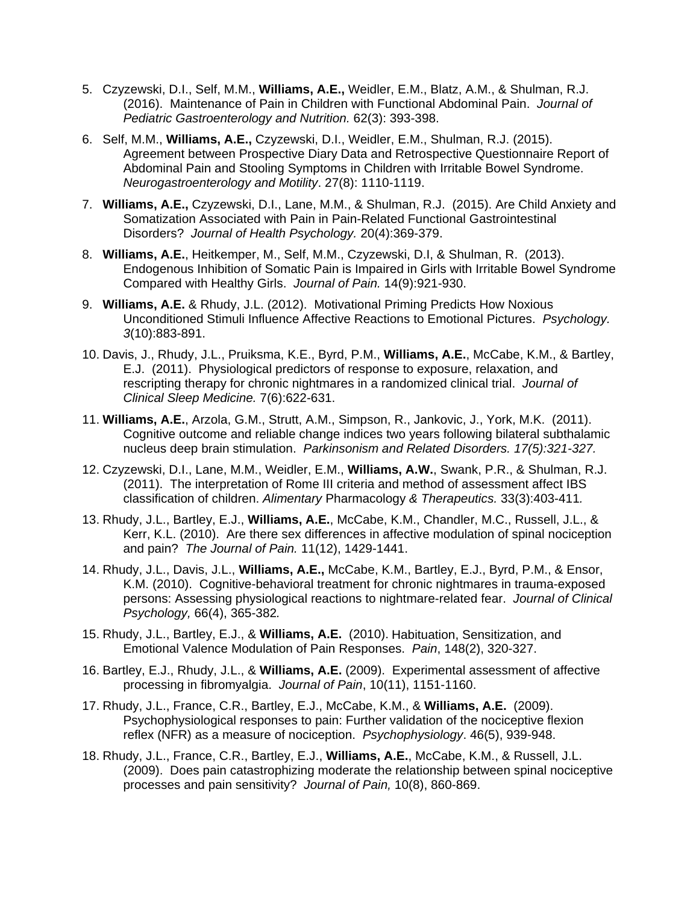- 5. Czyzewski, D.I., Self, M.M., **Williams, A.E.,** Weidler, E.M., Blatz, A.M., & Shulman, R.J. (2016). Maintenance of Pain in Children with Functional Abdominal Pain. *Journal of Pediatric Gastroenterology and Nutrition.* 62(3): 393-398.
- 6. Self, M.M., **Williams, A.E.,** Czyzewski, D.I., Weidler, E.M., Shulman, R.J. (2015). Agreement between Prospective Diary Data and Retrospective Questionnaire Report of Abdominal Pain and Stooling Symptoms in Children with Irritable Bowel Syndrome. *Neurogastroenterology and Motility*. 27(8): 1110-1119.
- 7. **Williams, A.E.,** Czyzewski, D.I., Lane, M.M., & Shulman, R.J. (2015). Are Child Anxiety and Somatization Associated with Pain in Pain-Related Functional Gastrointestinal Disorders? *Journal of Health Psychology.* 20(4):369-379.
- 8. **Williams, A.E.**, Heitkemper, M., Self, M.M., Czyzewski, D.I, & Shulman, R. (2013). Endogenous Inhibition of Somatic Pain is Impaired in Girls with Irritable Bowel Syndrome Compared with Healthy Girls. *Journal of Pain.* 14(9):921-930.
- 9. **Williams, A.E.** & Rhudy, J.L. (2012). Motivational Priming Predicts How Noxious Unconditioned Stimuli Influence Affective Reactions to Emotional Pictures. *Psychology. 3*(10):883-891.
- 10. Davis, J., Rhudy, J.L., Pruiksma, K.E., Byrd, P.M., **Williams, A.E.**, McCabe, K.M., & Bartley, E.J. (2011). Physiological predictors of response to exposure, relaxation, and rescripting therapy for chronic nightmares in a randomized clinical trial. *Journal of Clinical Sleep Medicine.* 7(6):622-631.
- 11. **Williams, A.E.**, Arzola, G.M., Strutt, A.M., Simpson, R., Jankovic, J., York, M.K. (2011). Cognitive outcome and reliable change indices two years following bilateral subthalamic nucleus deep brain stimulation. *Parkinsonism and Related Disorders. 17(5):321-327.*
- 12. Czyzewski, D.I., Lane, M.M., Weidler, E.M., **Williams, A.W.**, Swank, P.R., & Shulman, R.J. (2011). The interpretation of Rome III criteria and method of assessment affect IBS classification of children. *Alimentary* Pharmacology *& Therapeutics.* 33(3):403-411*.*
- 13. Rhudy, J.L., Bartley, E.J., **Williams, A.E.**, McCabe, K.M., Chandler, M.C., Russell, J.L., & Kerr, K.L. (2010). Are there sex differences in affective modulation of spinal nociception and pain? *The Journal of Pain.* 11(12), 1429-1441.
- 14. Rhudy, J.L., Davis, J.L., **Williams, A.E.,** McCabe, K.M., Bartley, E.J., Byrd, P.M., & Ensor, K.M. (2010). Cognitive-behavioral treatment for chronic nightmares in trauma-exposed persons: Assessing physiological reactions to nightmare-related fear. *Journal of Clinical Psychology,* 66(4), 365-382*.*
- 15. Rhudy, J.L., Bartley, E.J., & **Williams, A.E.** (2010). Habituation, Sensitization, and Emotional Valence Modulation of Pain Responses. *Pain*, 148(2), 320-327.
- 16. Bartley, E.J., Rhudy, J.L., & **Williams, A.E.** (2009). Experimental assessment of affective processing in fibromyalgia. *Journal of Pain*, 10(11), 1151-1160.
- 17. Rhudy, J.L., France, C.R., Bartley, E.J., McCabe, K.M., & **Williams, A.E.** (2009). Psychophysiological responses to pain: Further validation of the nociceptive flexion reflex (NFR) as a measure of nociception. *Psychophysiology*. 46(5), 939-948.
- 18. Rhudy, J.L., France, C.R., Bartley, E.J., **Williams, A.E.**, McCabe, K.M., & Russell, J.L. (2009). Does pain catastrophizing moderate the relationship between spinal nociceptive processes and pain sensitivity? *Journal of Pain,* 10(8), 860-869.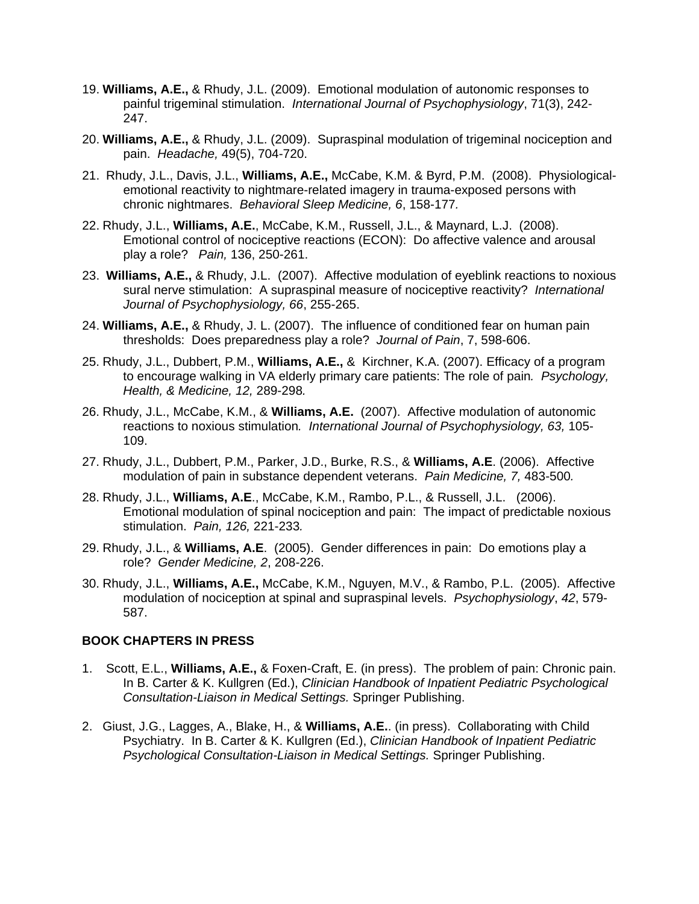- 19. **Williams, A.E.,** & Rhudy, J.L. (2009). Emotional modulation of autonomic responses to painful trigeminal stimulation. *International Journal of Psychophysiology*, 71(3), 242- 247.
- 20. **Williams, A.E.,** & Rhudy, J.L. (2009). Supraspinal modulation of trigeminal nociception and pain. *Headache,* 49(5), 704-720.
- 21. Rhudy, J.L., Davis, J.L., **Williams, A.E.,** McCabe, K.M. & Byrd, P.M. (2008). Physiologicalemotional reactivity to nightmare-related imagery in trauma-exposed persons with chronic nightmares. *Behavioral Sleep Medicine, 6*, 158-177*.*
- 22. Rhudy, J.L., **Williams, A.E.**, McCabe, K.M., Russell, J.L., & Maynard, L.J.(2008). Emotional control of nociceptive reactions (ECON): Do affective valence and arousal play a role? *Pain,* 136, 250-261.
- 23. **Williams, A.E.,** & Rhudy, J.L. (2007). Affective modulation of eyeblink reactions to noxious sural nerve stimulation: A supraspinal measure of nociceptive reactivity? *International Journal of Psychophysiology, 66*, 255-265.
- 24. **Williams, A.E.,** & Rhudy, J. L. (2007). The influence of conditioned fear on human pain thresholds: Does preparedness play a role? *Journal of Pain*, 7, 598-606.
- 25. Rhudy, J.L., Dubbert, P.M., **Williams, A.E.,** &Kirchner, K.A. (2007). Efficacy of a program to encourage walking in VA elderly primary care patients: The role of pain*. Psychology, Health, & Medicine, 12,* 289-298*.*
- 26. Rhudy, J.L., McCabe, K.M., & **Williams, A.E.** (2007). Affective modulation of autonomic reactions to noxious stimulation*. International Journal of Psychophysiology, 63,* 105- 109.
- 27. Rhudy, J.L., Dubbert, P.M., Parker, J.D., Burke, R.S., & **Williams, A.E**. (2006). Affective modulation of pain in substance dependent veterans. *Pain Medicine, 7,* 483-500*.*
- 28. Rhudy, J.L., **Williams, A.E**., McCabe, K.M., Rambo, P.L., & Russell, J.L. (2006). Emotional modulation of spinal nociception and pain: The impact of predictable noxious stimulation. *Pain, 126,* 221-233*.*
- 29. Rhudy, J.L., & **Williams, A.E**. (2005). Gender differences in pain: Do emotions play a role? *Gender Medicine, 2*, 208-226.
- 30. Rhudy, J.L., **Williams, A.E.,** McCabe, K.M., Nguyen, M.V., & Rambo, P.L. (2005). Affective modulation of nociception at spinal and supraspinal levels. *Psychophysiology*, *42*, 579- 587.

# **BOOK CHAPTERS IN PRESS**

- 1. Scott, E.L., **Williams, A.E.,** & Foxen-Craft, E. (in press). The problem of pain: Chronic pain. In B. Carter & K. Kullgren (Ed.), *Clinician Handbook of Inpatient Pediatric Psychological Consultation-Liaison in Medical Settings.* Springer Publishing.
- 2. Giust, J.G., Lagges, A., Blake, H., & **Williams, A.E.**. (in press). Collaborating with Child Psychiatry. In B. Carter & K. Kullgren (Ed.), *Clinician Handbook of Inpatient Pediatric Psychological Consultation-Liaison in Medical Settings.* Springer Publishing.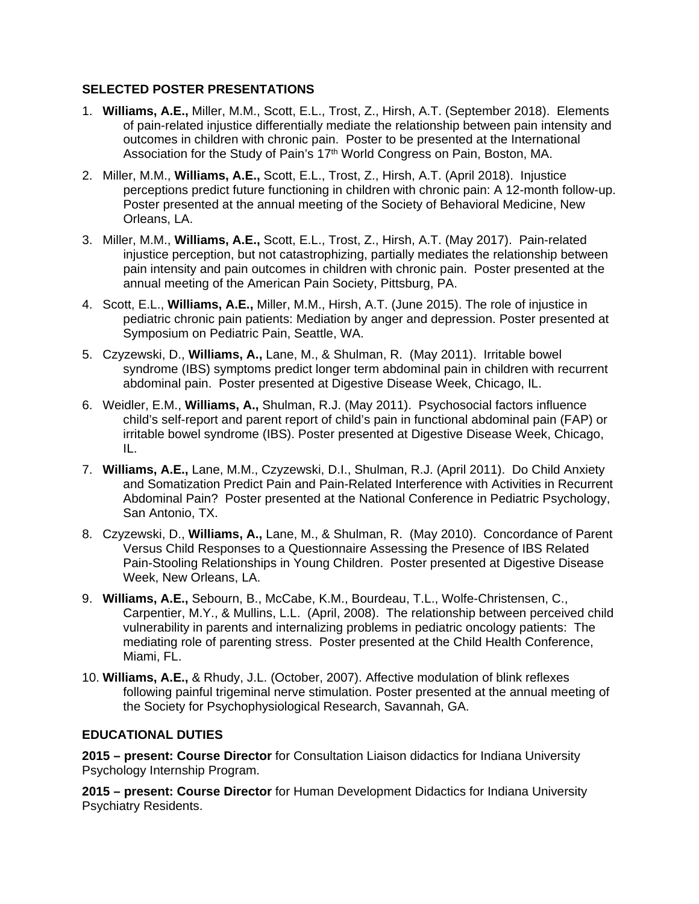# **SELECTED POSTER PRESENTATIONS**

- 1. **Williams, A.E.,** Miller, M.M., Scott, E.L., Trost, Z., Hirsh, A.T. (September 2018). Elements of pain-related injustice differentially mediate the relationship between pain intensity and outcomes in children with chronic pain. Poster to be presented at the International Association for the Study of Pain's 17th World Congress on Pain, Boston, MA.
- 2. Miller, M.M., **Williams, A.E.,** Scott, E.L., Trost, Z., Hirsh, A.T. (April 2018). Injustice perceptions predict future functioning in children with chronic pain: A 12-month follow-up. Poster presented at the annual meeting of the Society of Behavioral Medicine, New Orleans, LA.
- 3. Miller, M.M., **Williams, A.E.,** Scott, E.L., Trost, Z., Hirsh, A.T. (May 2017). Pain-related injustice perception, but not catastrophizing, partially mediates the relationship between pain intensity and pain outcomes in children with chronic pain. Poster presented at the annual meeting of the American Pain Society, Pittsburg, PA.
- 4. Scott, E.L., **Williams, A.E.,** Miller, M.M., Hirsh, A.T. (June 2015). The role of injustice in pediatric chronic pain patients: Mediation by anger and depression. Poster presented at Symposium on Pediatric Pain, Seattle, WA.
- 5. Czyzewski, D., **Williams, A.,** Lane, M., & Shulman, R. (May 2011). Irritable bowel syndrome (IBS) symptoms predict longer term abdominal pain in children with recurrent abdominal pain. Poster presented at Digestive Disease Week, Chicago, IL.
- 6. Weidler, E.M., **Williams, A.,** Shulman, R.J. (May 2011). Psychosocial factors influence child's self-report and parent report of child's pain in functional abdominal pain (FAP) or irritable bowel syndrome (IBS). Poster presented at Digestive Disease Week, Chicago, IL.
- 7. **Williams, A.E.,** Lane, M.M., Czyzewski, D.I., Shulman, R.J. (April 2011). Do Child Anxiety and Somatization Predict Pain and Pain-Related Interference with Activities in Recurrent Abdominal Pain? Poster presented at the National Conference in Pediatric Psychology, San Antonio, TX.
- 8. Czyzewski, D., **Williams, A.,** Lane, M., & Shulman, R. (May 2010). Concordance of Parent Versus Child Responses to a Questionnaire Assessing the Presence of IBS Related Pain-Stooling Relationships in Young Children. Poster presented at Digestive Disease Week, New Orleans, LA.
- 9. **Williams, A.E.,** Sebourn, B., McCabe, K.M., Bourdeau, T.L., Wolfe-Christensen, C., Carpentier, M.Y., & Mullins, L.L. (April, 2008). The relationship between perceived child vulnerability in parents and internalizing problems in pediatric oncology patients: The mediating role of parenting stress. Poster presented at the Child Health Conference, Miami, FL.
- 10. **Williams, A.E.,** & Rhudy, J.L. (October, 2007). Affective modulation of blink reflexes following painful trigeminal nerve stimulation. Poster presented at the annual meeting of the Society for Psychophysiological Research, Savannah, GA.

# **EDUCATIONAL DUTIES**

**2015 – present: Course Director** for Consultation Liaison didactics for Indiana University Psychology Internship Program.

**2015 – present: Course Director** for Human Development Didactics for Indiana University Psychiatry Residents.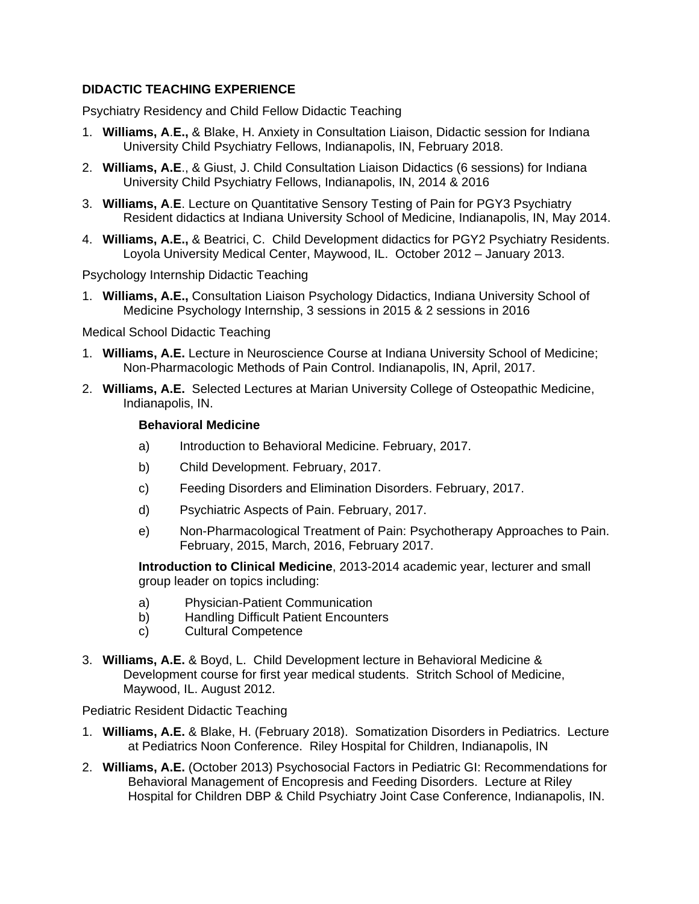# **DIDACTIC TEACHING EXPERIENCE**

Psychiatry Residency and Child Fellow Didactic Teaching

- 1. **Williams, A**.**E.,** & Blake, H. Anxiety in Consultation Liaison, Didactic session for Indiana University Child Psychiatry Fellows, Indianapolis, IN, February 2018.
- 2. **Williams, A.E**., & Giust, J. Child Consultation Liaison Didactics (6 sessions) for Indiana University Child Psychiatry Fellows, Indianapolis, IN, 2014 & 2016
- 3. **Williams, A**.**E**. Lecture on Quantitative Sensory Testing of Pain for PGY3 Psychiatry Resident didactics at Indiana University School of Medicine, Indianapolis, IN, May 2014.
- 4. **Williams, A.E.,** & Beatrici, C. Child Development didactics for PGY2 Psychiatry Residents. Loyola University Medical Center, Maywood, IL. October 2012 – January 2013.

Psychology Internship Didactic Teaching

1. **Williams, A.E.,** Consultation Liaison Psychology Didactics, Indiana University School of Medicine Psychology Internship, 3 sessions in 2015 & 2 sessions in 2016

Medical School Didactic Teaching

- 1. **Williams, A.E.** Lecture in Neuroscience Course at Indiana University School of Medicine; Non-Pharmacologic Methods of Pain Control. Indianapolis, IN, April, 2017.
- 2. **Williams, A.E.** Selected Lectures at Marian University College of Osteopathic Medicine, Indianapolis, IN.

## **Behavioral Medicine**

- a) Introduction to Behavioral Medicine. February, 2017.
- b) Child Development. February, 2017.
- c) Feeding Disorders and Elimination Disorders. February, 2017.
- d) Psychiatric Aspects of Pain. February, 2017.
- e) Non-Pharmacological Treatment of Pain: Psychotherapy Approaches to Pain. February, 2015, March, 2016, February 2017.

**Introduction to Clinical Medicine**, 2013-2014 academic year, lecturer and small group leader on topics including:

- a) Physician-Patient Communication
- b) Handling Difficult Patient Encounters
- c) Cultural Competence
- 3. **Williams, A.E.** & Boyd, L. Child Development lecture in Behavioral Medicine & Development course for first year medical students. Stritch School of Medicine, Maywood, IL. August 2012.

## Pediatric Resident Didactic Teaching

- 1. **Williams, A.E.** & Blake, H. (February 2018). Somatization Disorders in Pediatrics. Lecture at Pediatrics Noon Conference. Riley Hospital for Children, Indianapolis, IN
- 2. **Williams, A.E.** (October 2013) Psychosocial Factors in Pediatric GI: Recommendations for Behavioral Management of Encopresis and Feeding Disorders. Lecture at Riley Hospital for Children DBP & Child Psychiatry Joint Case Conference, Indianapolis, IN.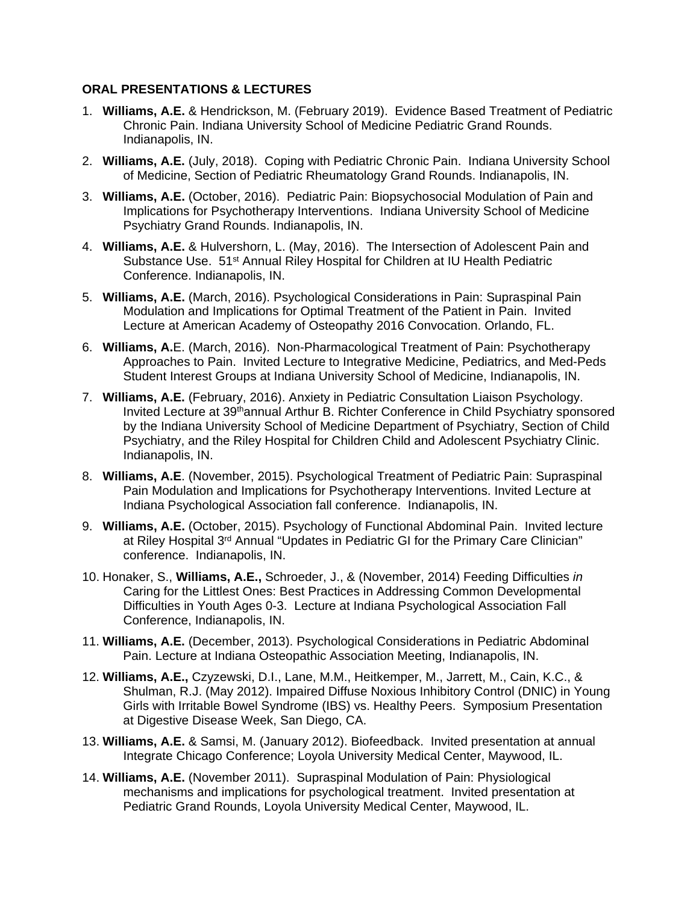## **ORAL PRESENTATIONS & LECTURES**

- 1. **Williams, A.E.** & Hendrickson, M. (February 2019). Evidence Based Treatment of Pediatric Chronic Pain. Indiana University School of Medicine Pediatric Grand Rounds. Indianapolis, IN.
- 2. **Williams, A.E.** (July, 2018). Coping with Pediatric Chronic Pain. Indiana University School of Medicine, Section of Pediatric Rheumatology Grand Rounds. Indianapolis, IN.
- 3. **Williams, A.E.** (October, 2016). Pediatric Pain: Biopsychosocial Modulation of Pain and Implications for Psychotherapy Interventions. Indiana University School of Medicine Psychiatry Grand Rounds. Indianapolis, IN.
- 4. **Williams, A.E.** & Hulvershorn, L. (May, 2016). The Intersection of Adolescent Pain and Substance Use. 51<sup>st</sup> Annual Riley Hospital for Children at IU Health Pediatric Conference. Indianapolis, IN.
- 5. **Williams, A.E.** (March, 2016). Psychological Considerations in Pain: Supraspinal Pain Modulation and Implications for Optimal Treatment of the Patient in Pain. Invited Lecture at American Academy of Osteopathy 2016 Convocation. Orlando, FL.
- 6. **Williams, A.**E. (March, 2016). Non-Pharmacological Treatment of Pain: Psychotherapy Approaches to Pain. Invited Lecture to Integrative Medicine, Pediatrics, and Med-Peds Student Interest Groups at Indiana University School of Medicine, Indianapolis, IN.
- 7. **Williams, A.E.** (February, 2016). Anxiety in Pediatric Consultation Liaison Psychology. Invited Lecture at 39<sup>th</sup>annual Arthur B. Richter Conference in Child Psychiatry sponsored by the Indiana University School of Medicine Department of Psychiatry, Section of Child Psychiatry, and the Riley Hospital for Children Child and Adolescent Psychiatry Clinic. Indianapolis, IN.
- 8. **Williams, A.E**. (November, 2015). Psychological Treatment of Pediatric Pain: Supraspinal Pain Modulation and Implications for Psychotherapy Interventions. Invited Lecture at Indiana Psychological Association fall conference. Indianapolis, IN.
- 9. **Williams, A.E.** (October, 2015). Psychology of Functional Abdominal Pain. Invited lecture at Riley Hospital 3<sup>rd</sup> Annual "Updates in Pediatric GI for the Primary Care Clinician" conference. Indianapolis, IN.
- 10. Honaker, S., **Williams, A.E.,** Schroeder, J., & (November, 2014) Feeding Difficulties *in* Caring for the Littlest Ones: Best Practices in Addressing Common Developmental Difficulties in Youth Ages 0-3. Lecture at Indiana Psychological Association Fall Conference, Indianapolis, IN.
- 11. **Williams, A.E.** (December, 2013). Psychological Considerations in Pediatric Abdominal Pain. Lecture at Indiana Osteopathic Association Meeting, Indianapolis, IN.
- 12. **Williams, A.E.,** Czyzewski, D.I., Lane, M.M., Heitkemper, M., Jarrett, M., Cain, K.C., & Shulman, R.J. (May 2012). Impaired Diffuse Noxious Inhibitory Control (DNIC) in Young Girls with Irritable Bowel Syndrome (IBS) vs. Healthy Peers. Symposium Presentation at Digestive Disease Week, San Diego, CA.
- 13. **Williams, A.E.** & Samsi, M. (January 2012). Biofeedback. Invited presentation at annual Integrate Chicago Conference; Loyola University Medical Center, Maywood, IL.
- 14. **Williams, A.E.** (November 2011). Supraspinal Modulation of Pain: Physiological mechanisms and implications for psychological treatment. Invited presentation at Pediatric Grand Rounds, Loyola University Medical Center, Maywood, IL.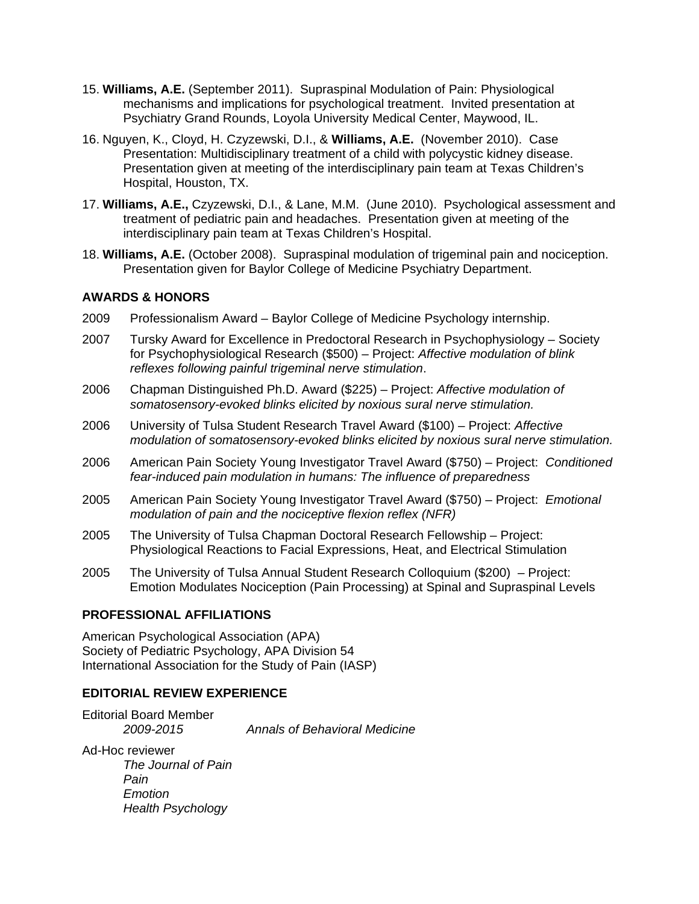- 15. **Williams, A.E.** (September 2011). Supraspinal Modulation of Pain: Physiological mechanisms and implications for psychological treatment. Invited presentation at Psychiatry Grand Rounds, Loyola University Medical Center, Maywood, IL.
- 16. Nguyen, K., Cloyd, H. Czyzewski, D.I., & **Williams, A.E.** (November 2010). Case Presentation: Multidisciplinary treatment of a child with polycystic kidney disease. Presentation given at meeting of the interdisciplinary pain team at Texas Children's Hospital, Houston, TX.
- 17. **Williams, A.E.,** Czyzewski, D.I., & Lane, M.M. (June 2010). Psychological assessment and treatment of pediatric pain and headaches. Presentation given at meeting of the interdisciplinary pain team at Texas Children's Hospital.
- 18. **Williams, A.E.** (October 2008). Supraspinal modulation of trigeminal pain and nociception. Presentation given for Baylor College of Medicine Psychiatry Department.

# **AWARDS & HONORS**

- 2009 Professionalism Award Baylor College of Medicine Psychology internship.
- 2007 Tursky Award for Excellence in Predoctoral Research in Psychophysiology Society for Psychophysiological Research (\$500) – Project: *Affective modulation of blink reflexes following painful trigeminal nerve stimulation*.
- 2006 Chapman Distinguished Ph.D. Award (\$225) Project: *Affective modulation of somatosensory-evoked blinks elicited by noxious sural nerve stimulation.*
- 2006 University of Tulsa Student Research Travel Award (\$100) Project: *Affective modulation of somatosensory-evoked blinks elicited by noxious sural nerve stimulation.*
- 2006 American Pain Society Young Investigator Travel Award (\$750) Project: *Conditioned fear-induced pain modulation in humans: The influence of preparedness*
- 2005 American Pain Society Young Investigator Travel Award (\$750) Project: *Emotional modulation of pain and the nociceptive flexion reflex (NFR)*
- 2005 The University of Tulsa Chapman Doctoral Research Fellowship Project: Physiological Reactions to Facial Expressions, Heat, and Electrical Stimulation
- 2005 The University of Tulsa Annual Student Research Colloquium (\$200) Project: Emotion Modulates Nociception (Pain Processing) at Spinal and Supraspinal Levels

## **PROFESSIONAL AFFILIATIONS**

American Psychological Association (APA) Society of Pediatric Psychology, APA Division 54 International Association for the Study of Pain (IASP)

### **EDITORIAL REVIEW EXPERIENCE**

Editorial Board Member *2009-2015 Annals of Behavioral Medicine*

Ad-Hoc reviewer *The Journal of Pain Pain Emotion Health Psychology*